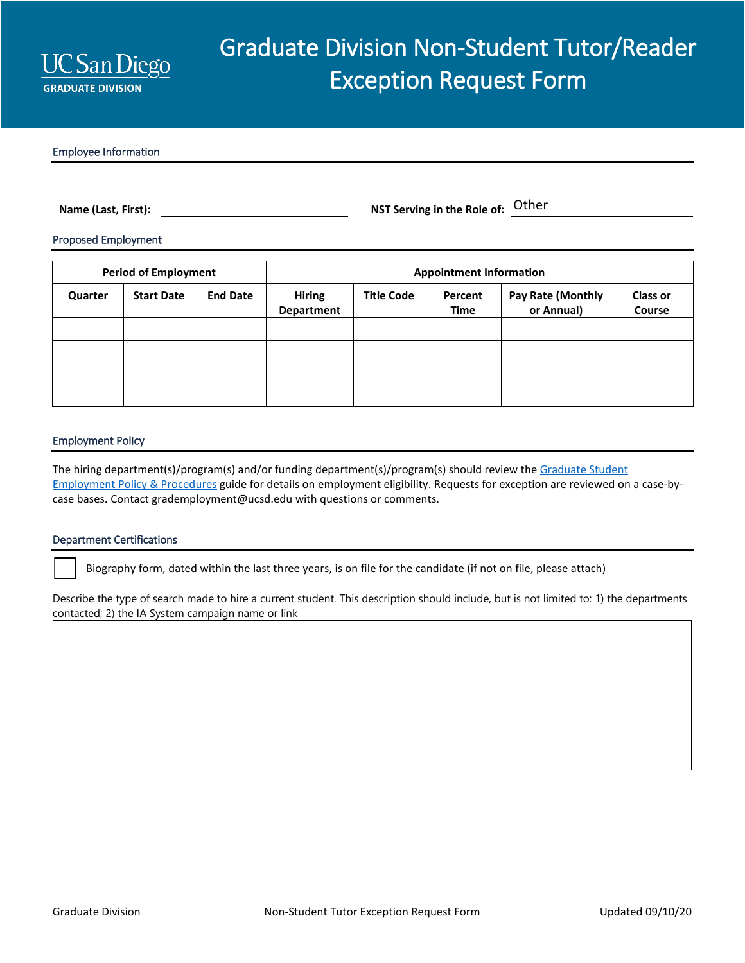

#### Employee Information

**Name (Last, First): NST Serving in the Role of:** Other

Proposed Employment

| <b>Period of Employment</b> |                   |                 | <b>Appointment Information</b>     |                   |                        |                                        |                                  |
|-----------------------------|-------------------|-----------------|------------------------------------|-------------------|------------------------|----------------------------------------|----------------------------------|
| Quarter                     | <b>Start Date</b> | <b>End Date</b> | <b>Hiring</b><br><b>Department</b> | <b>Title Code</b> | Percent<br><b>Time</b> | <b>Pay Rate (Monthly</b><br>or Annual) | <b>Class or</b><br><b>Course</b> |
|                             |                   |                 |                                    |                   |                        |                                        |                                  |
|                             |                   |                 |                                    |                   |                        |                                        |                                  |
|                             |                   |                 |                                    |                   |                        |                                        |                                  |
|                             |                   |                 |                                    |                   |                        |                                        |                                  |

# Employment Policy

The hiring department(s)/program(s) and/or funding department(s)/program(s) should review the [Graduate Student](https://collab.ucsd.edu/x/vj2YBQ)  [Employment Policy & Procedures](https://collab.ucsd.edu/x/vj2YBQ) guide for details on employment eligibility. Requests for exception are reviewed on a case-bycase bases. Contact grademployment@ucsd.edu with questions or comments.

# Department Certifications

Biography form, dated within the last three years, is on file for the candidate (if not on file, please attach)

Describe the type of search made to hire a current student. This description should include, but is not limited to: 1) the departments contacted; 2) the IA System campaign name or link